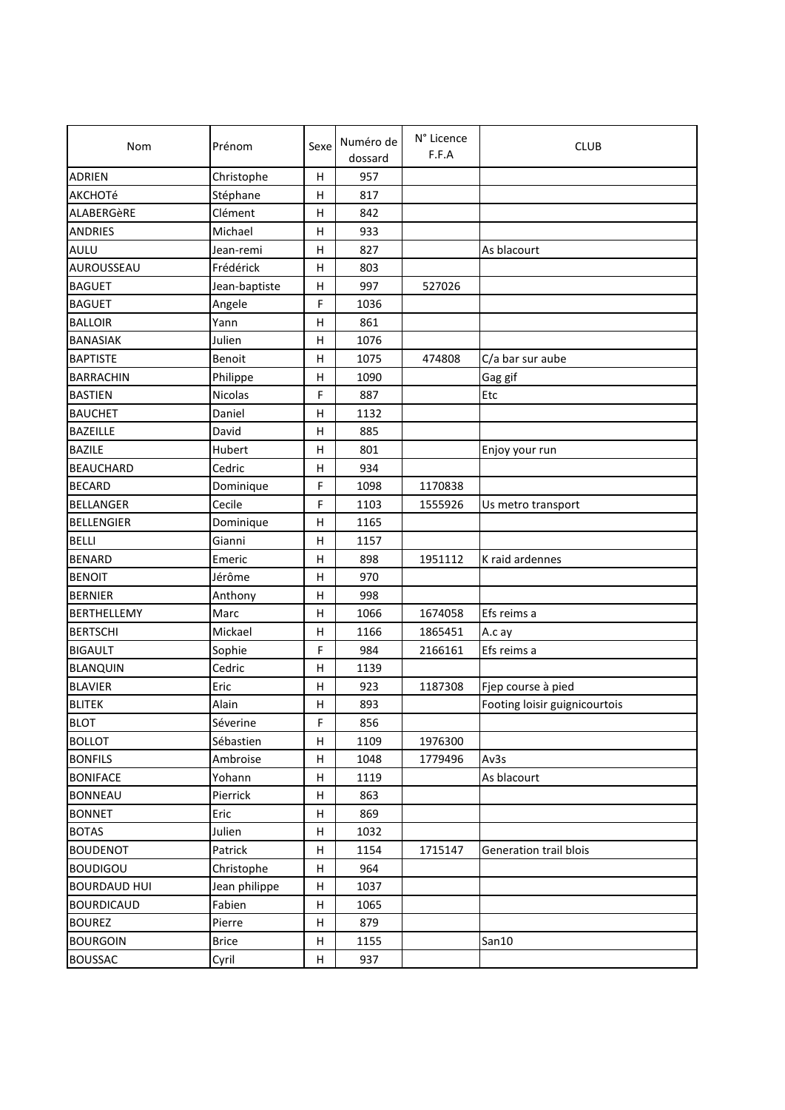| <b>Nom</b>          | Prénom         | Sexe         | Numéro de<br>dossard | N° Licence<br>F.F.A | <b>CLUB</b>                   |
|---------------------|----------------|--------------|----------------------|---------------------|-------------------------------|
| <b>ADRIEN</b>       | Christophe     | Н            | 957                  |                     |                               |
| AKCHOTé             | Stéphane       | H            | 817                  |                     |                               |
| ALABERGèRE          | Clément        | н            | 842                  |                     |                               |
| <b>ANDRIES</b>      | Michael        | Η            | 933                  |                     |                               |
| AULU                | Jean-remi      | н            | 827                  |                     | As blacourt                   |
| AUROUSSEAU          | Frédérick      | H            | 803                  |                     |                               |
| <b>BAGUET</b>       | Jean-baptiste  | н            | 997                  | 527026              |                               |
| <b>BAGUET</b>       | Angele         | F            | 1036                 |                     |                               |
| <b>BALLOIR</b>      | Yann           | H            | 861                  |                     |                               |
| <b>BANASIAK</b>     | Julien         | н            | 1076                 |                     |                               |
| <b>BAPTISTE</b>     | Benoit         | н            | 1075                 | 474808              | C/a bar sur aube              |
| <b>BARRACHIN</b>    | Philippe       | H            | 1090                 |                     |                               |
| <b>BASTIEN</b>      | <b>Nicolas</b> | F            | 887                  |                     | Gag gif                       |
| <b>BAUCHET</b>      |                |              |                      |                     | Etc                           |
| <b>BAZEILLE</b>     | Daniel         | н            | 1132<br>885          |                     |                               |
|                     | David          | Η            |                      |                     |                               |
| <b>BAZILE</b>       | Hubert         | H            | 801                  |                     | Enjoy your run                |
| <b>BEAUCHARD</b>    | Cedric         | н            | 934                  |                     |                               |
| <b>BECARD</b>       | Dominique      | $\mathsf F$  | 1098                 | 1170838             |                               |
| <b>BELLANGER</b>    | Cecile         | F            | 1103                 | 1555926             | Us metro transport            |
| <b>BELLENGIER</b>   | Dominique      | Н            | 1165                 |                     |                               |
| <b>BELLI</b>        | Gianni         | н            | 1157                 |                     |                               |
| <b>BENARD</b>       | Emeric         | H            | 898                  | 1951112             | K raid ardennes               |
| <b>BENOIT</b>       | Jérôme         | н            | 970                  |                     |                               |
| <b>BERNIER</b>      | Anthony        | н            | 998                  |                     |                               |
| <b>BERTHELLEMY</b>  | Marc           | н            | 1066                 | 1674058             | Efs reims a                   |
| <b>BERTSCHI</b>     | Mickael        | н            | 1166                 | 1865451             | A.c ay                        |
| <b>BIGAULT</b>      | Sophie         | F            | 984                  | 2166161             | Efs reims a                   |
| <b>BLANQUIN</b>     | Cedric         | Η            | 1139                 |                     |                               |
| <b>BLAVIER</b>      | Eric           | H            | 923                  | 1187308             | Fjep course à pied            |
| <b>BLITEK</b>       | Alain          | н            | 893                  |                     | Footing loisir guignicourtois |
| <b>BLOT</b>         | Séverine       | F            | 856                  |                     |                               |
| <b>BOLLOT</b>       | Sébastien      | Η            | 1109                 | 1976300             |                               |
| <b>BONFILS</b>      | Ambroise       | Н            | 1048                 | 1779496             | Av3s                          |
| <b>BONIFACE</b>     | Yohann         | Н            | 1119                 |                     | As blacourt                   |
| <b>BONNEAU</b>      | Pierrick       | н            | 863                  |                     |                               |
| <b>BONNET</b>       | Eric           | н            | 869                  |                     |                               |
| <b>BOTAS</b>        | Julien         | Н            | 1032                 |                     |                               |
| <b>BOUDENOT</b>     | Patrick        | Н            | 1154                 | 1715147             | Generation trail blois        |
| <b>BOUDIGOU</b>     | Christophe     | $\mathsf{H}$ | 964                  |                     |                               |
| <b>BOURDAUD HUI</b> | Jean philippe  | н            | 1037                 |                     |                               |
| <b>BOURDICAUD</b>   | Fabien         | Н            | 1065                 |                     |                               |
| <b>BOUREZ</b>       | Pierre         | н            | 879                  |                     |                               |
| <b>BOURGOIN</b>     | <b>Brice</b>   | Н            | 1155                 |                     | San10                         |
| <b>BOUSSAC</b>      | Cyril          | н            | 937                  |                     |                               |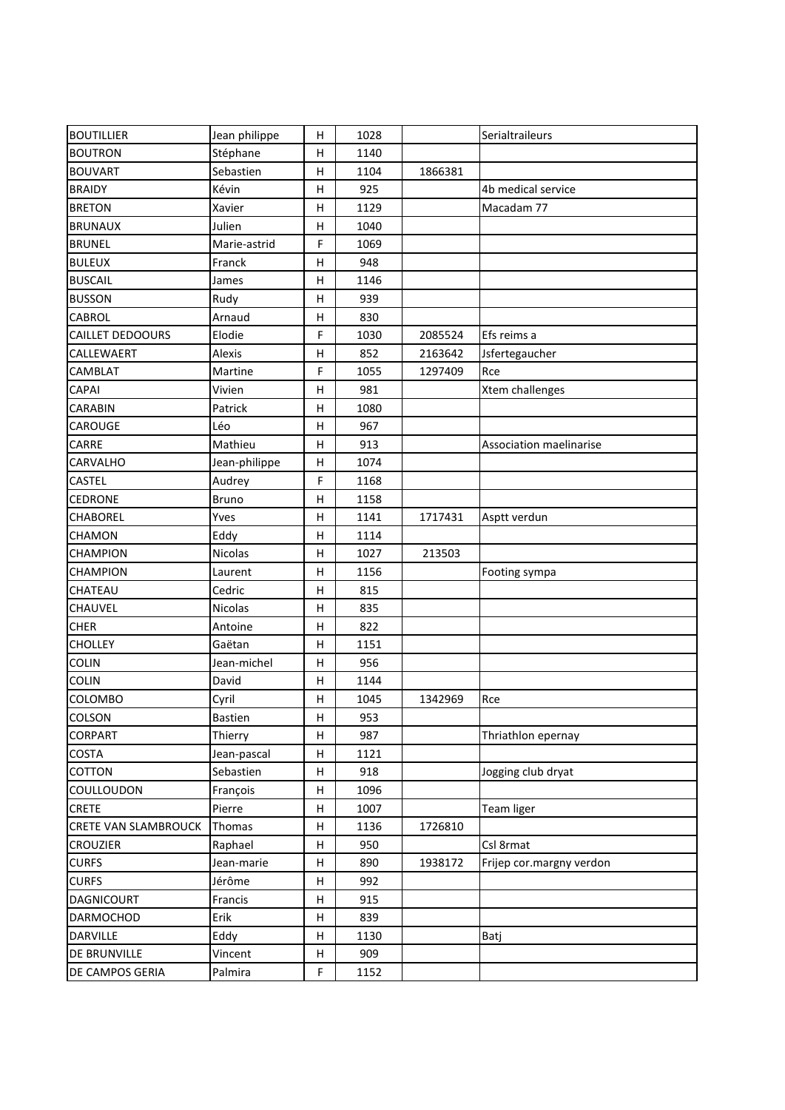| <b>BOUTILLIER</b>           | Jean philippe | н           | 1028 |         | Serialtraileurs          |
|-----------------------------|---------------|-------------|------|---------|--------------------------|
| <b>BOUTRON</b>              | Stéphane      | н           | 1140 |         |                          |
| <b>BOUVART</b>              | Sebastien     | н           | 1104 | 1866381 |                          |
| <b>BRAIDY</b>               | Kévin         | н           | 925  |         | 4b medical service       |
| <b>BRETON</b>               | Xavier        | н           | 1129 |         | Macadam 77               |
| <b>BRUNAUX</b>              | Julien        | н           | 1040 |         |                          |
| <b>BRUNEL</b>               | Marie-astrid  | F           | 1069 |         |                          |
| <b>BULEUX</b>               | Franck        | н           | 948  |         |                          |
| <b>BUSCAIL</b>              | James         | Н           | 1146 |         |                          |
| <b>BUSSON</b>               | Rudy          | н           | 939  |         |                          |
| <b>CABROL</b>               | Arnaud        | Н           | 830  |         |                          |
| <b>CAILLET DEDOOURS</b>     | Elodie        | F           | 1030 | 2085524 | Efs reims a              |
| CALLEWAERT                  | Alexis        | н           | 852  | 2163642 | Jsfertegaucher           |
| CAMBLAT                     | Martine       | F           | 1055 | 1297409 | Rce                      |
| CAPAI                       | Vivien        | н           | 981  |         | <b>Xtem challenges</b>   |
| <b>CARABIN</b>              | Patrick       | н           | 1080 |         |                          |
| CAROUGE                     | Léo           | н           | 967  |         |                          |
| CARRE                       | Mathieu       | н           | 913  |         | Association maelinarise  |
| CARVALHO                    | Jean-philippe | н           | 1074 |         |                          |
| CASTEL                      | Audrey        | F           | 1168 |         |                          |
| <b>CEDRONE</b>              | <b>Bruno</b>  | н           | 1158 |         |                          |
| CHABOREL                    | Yves          | н           | 1141 | 1717431 | Asptt verdun             |
| <b>CHAMON</b>               | Eddy          | н           | 1114 |         |                          |
| <b>CHAMPION</b>             | Nicolas       | н           | 1027 | 213503  |                          |
| <b>CHAMPION</b>             | Laurent       | н           | 1156 |         | Footing sympa            |
| <b>CHATEAU</b>              | Cedric        | н           | 815  |         |                          |
| CHAUVEL                     | Nicolas       | н           | 835  |         |                          |
| <b>CHER</b>                 | Antoine       | н           | 822  |         |                          |
| <b>CHOLLEY</b>              | Gaëtan        | Н           | 1151 |         |                          |
| COLIN                       | Jean-michel   | н           | 956  |         |                          |
| <b>COLIN</b>                | David         | н           | 1144 |         |                          |
| <b>COLOMBO</b>              | Cyril         | н           | 1045 | 1342969 | Rce                      |
| COLSON                      | Bastien       | н           | 953  |         |                          |
| <b>CORPART</b>              | Thierry       | н           | 987  |         | Thriathlon epernay       |
| COSTA                       | Jean-pascal   | Н           | 1121 |         |                          |
| <b>COTTON</b>               | Sebastien     | н           | 918  |         | Jogging club dryat       |
| COULLOUDON                  | François      | н           | 1096 |         |                          |
| <b>CRETE</b>                | Pierre        | н           | 1007 |         | <b>Team liger</b>        |
| <b>CRETE VAN SLAMBROUCK</b> | Thomas        | н           | 1136 | 1726810 |                          |
| <b>CROUZIER</b>             | Raphael       | н           | 950  |         | Csl 8rmat                |
| <b>CURFS</b>                | Jean-marie    | н           | 890  | 1938172 | Frijep cor.margny verdon |
| <b>CURFS</b>                | Jérôme        | н           | 992  |         |                          |
| <b>DAGNICOURT</b>           | Francis       | н           | 915  |         |                          |
| <b>DARMOCHOD</b>            | Erik          | н           | 839  |         |                          |
| <b>DARVILLE</b>             | Eddy          | Н           | 1130 |         | Batj                     |
| DE BRUNVILLE                | Vincent       | н           | 909  |         |                          |
| DE CAMPOS GERIA             | Palmira       | $\mathsf F$ | 1152 |         |                          |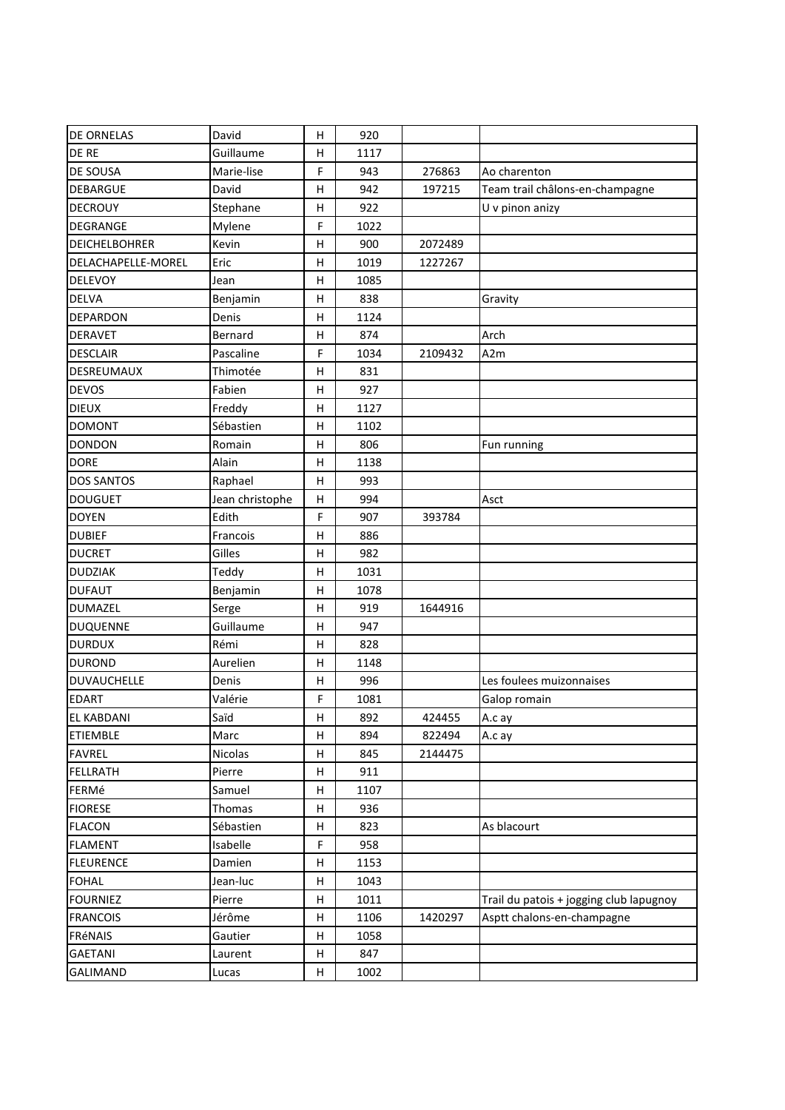| <b>DE ORNELAS</b>    | David           | н  | 920  |         |                                         |
|----------------------|-----------------|----|------|---------|-----------------------------------------|
| DE RE                | Guillaume       | Н  | 1117 |         |                                         |
| DE SOUSA             | Marie-lise      | F  | 943  | 276863  | Ao charenton                            |
| <b>DEBARGUE</b>      | David           | н  | 942  | 197215  | Team trail châlons-en-champagne         |
| <b>DECROUY</b>       | Stephane        | Н  | 922  |         | U v pinon anizy                         |
| DEGRANGE             | Mylene          | F  | 1022 |         |                                         |
| <b>DEICHELBOHRER</b> | Kevin           | н  | 900  | 2072489 |                                         |
| DELACHAPELLE-MOREL   | Eric            | н  | 1019 | 1227267 |                                         |
| <b>DELEVOY</b>       | Jean            | H  | 1085 |         |                                         |
| <b>DELVA</b>         | Benjamin        | н  | 838  |         | Gravity                                 |
| <b>DEPARDON</b>      | Denis           | н  | 1124 |         |                                         |
| <b>DERAVET</b>       | Bernard         | Н  | 874  |         | Arch                                    |
| <b>DESCLAIR</b>      | Pascaline       | F  | 1034 | 2109432 | A2m                                     |
| DESREUMAUX           | Thimotée        | н  | 831  |         |                                         |
| <b>DEVOS</b>         | Fabien          | н  | 927  |         |                                         |
| <b>DIEUX</b>         | Freddy          | Н  | 1127 |         |                                         |
| <b>DOMONT</b>        | Sébastien       | н  | 1102 |         |                                         |
| <b>DONDON</b>        | Romain          | н  | 806  |         | Fun running                             |
| <b>DORE</b>          | Alain           | Н  | 1138 |         |                                         |
| <b>DOS SANTOS</b>    | Raphael         | н  | 993  |         |                                         |
| <b>DOUGUET</b>       | Jean christophe | н  | 994  |         | Asct                                    |
| <b>DOYEN</b>         | Edith           | F  | 907  | 393784  |                                         |
| <b>DUBIEF</b>        | Francois        | н  | 886  |         |                                         |
| <b>DUCRET</b>        | Gilles          | н  | 982  |         |                                         |
| <b>DUDZIAK</b>       | Teddy           | н  | 1031 |         |                                         |
| <b>DUFAUT</b>        | Benjamin        | Н  | 1078 |         |                                         |
| <b>DUMAZEL</b>       | Serge           | н  | 919  | 1644916 |                                         |
| <b>DUQUENNE</b>      | Guillaume       | н  | 947  |         |                                         |
| <b>DURDUX</b>        | Rémi            | H  | 828  |         |                                         |
| <b>DUROND</b>        | Aurelien        | н  | 1148 |         |                                         |
| <b>DUVAUCHELLE</b>   | Denis           | Н  | 996  |         | Les foulees muizonnaises                |
| <b>EDART</b>         | Valérie         | F  | 1081 |         | Galop romain                            |
| <b>EL KABDANI</b>    | Saïd            | H. | 892  | 424455  | A.c ay                                  |
| <b>ETIEMBLE</b>      | Marc            | н  | 894  | 822494  | A.c ay                                  |
| <b>FAVREL</b>        | <b>Nicolas</b>  | н  | 845  | 2144475 |                                         |
| <b>FELLRATH</b>      | Pierre          | н  | 911  |         |                                         |
| FERMé                | Samuel          | н  | 1107 |         |                                         |
| <b>FIORESE</b>       | Thomas          | Н  | 936  |         |                                         |
| <b>FLACON</b>        | Sébastien       | н  | 823  |         | As blacourt                             |
| <b>FLAMENT</b>       | Isabelle        | F  | 958  |         |                                         |
| <b>FLEURENCE</b>     | Damien          | н  | 1153 |         |                                         |
| <b>FOHAL</b>         | Jean-luc        | н  | 1043 |         |                                         |
| <b>FOURNIEZ</b>      | Pierre          | н  | 1011 |         | Trail du patois + jogging club lapugnoy |
| <b>FRANCOIS</b>      | Jérôme          | н  | 1106 | 1420297 | Asptt chalons-en-champagne              |
| FRéNAIS              | Gautier         | н  | 1058 |         |                                         |
| <b>GAETANI</b>       | Laurent         | н  | 847  |         |                                         |
| GALIMAND             | Lucas           | н  | 1002 |         |                                         |
|                      |                 |    |      |         |                                         |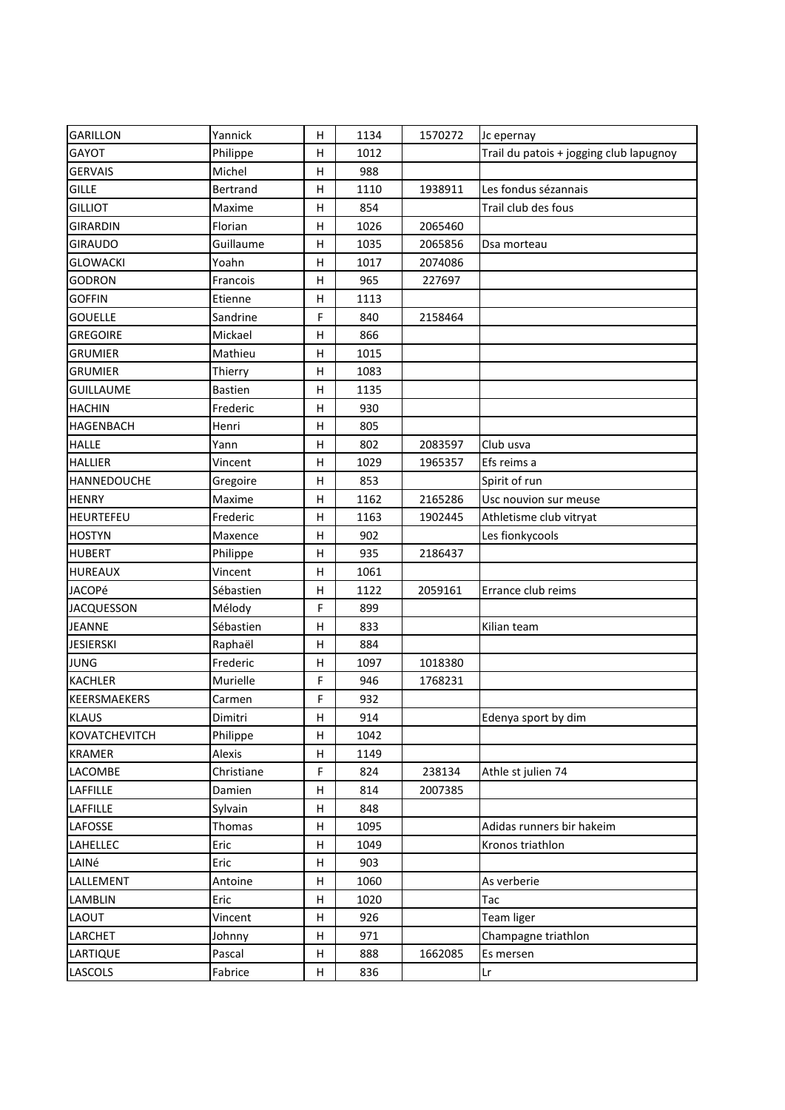| <b>GARILLON</b>      | Yannick        | н | 1134 | 1570272 | Jc epernay                              |
|----------------------|----------------|---|------|---------|-----------------------------------------|
| GAYOT                | Philippe       | н | 1012 |         | Trail du patois + jogging club lapugnoy |
| <b>GERVAIS</b>       | Michel         | н | 988  |         |                                         |
| <b>GILLE</b>         | Bertrand       | н | 1110 | 1938911 | Les fondus sézannais                    |
| <b>GILLIOT</b>       | Maxime         | Н | 854  |         | Trail club des fous                     |
| <b>GIRARDIN</b>      | Florian        | H | 1026 | 2065460 |                                         |
| <b>GIRAUDO</b>       | Guillaume      | н | 1035 | 2065856 | Dsa morteau                             |
| <b>GLOWACKI</b>      | Yoahn          | н | 1017 | 2074086 |                                         |
| <b>GODRON</b>        | Francois       | н | 965  | 227697  |                                         |
| <b>GOFFIN</b>        | Etienne        | н | 1113 |         |                                         |
| <b>GOUELLE</b>       | Sandrine       | F | 840  | 2158464 |                                         |
| <b>GREGOIRE</b>      | Mickael        | н | 866  |         |                                         |
| <b>GRUMIER</b>       | Mathieu        | н | 1015 |         |                                         |
| <b>GRUMIER</b>       | Thierry        | н | 1083 |         |                                         |
| <b>GUILLAUME</b>     | <b>Bastien</b> | H | 1135 |         |                                         |
| <b>HACHIN</b>        | Frederic       | Η | 930  |         |                                         |
| HAGENBACH            | Henri          | н | 805  |         |                                         |
| <b>HALLE</b>         | Yann           | H | 802  | 2083597 | Club usva                               |
| <b>HALLIER</b>       | Vincent        | н | 1029 | 1965357 | Efs reims a                             |
| HANNEDOUCHE          | Gregoire       | н | 853  |         | Spirit of run                           |
| <b>HENRY</b>         | Maxime         | н | 1162 | 2165286 | Usc nouvion sur meuse                   |
| <b>HEURTEFEU</b>     | Frederic       | н | 1163 | 1902445 | Athletisme club vitryat                 |
| <b>HOSTYN</b>        | Maxence        | н | 902  |         | Les fionkycools                         |
| <b>HUBERT</b>        | Philippe       | н | 935  | 2186437 |                                         |
| <b>HUREAUX</b>       | Vincent        | Н | 1061 |         |                                         |
| <b>JACOPé</b>        | Sébastien      | Η | 1122 | 2059161 | Errance club reims                      |
| <b>JACQUESSON</b>    | Mélody         | F | 899  |         |                                         |
| <b>JEANNE</b>        | Sébastien      | H | 833  |         | Kilian team                             |
| <b>JESIERSKI</b>     | Raphaël        | н | 884  |         |                                         |
| <b>JUNG</b>          | Frederic       | н | 1097 | 1018380 |                                         |
| <b>KACHLER</b>       | Murielle       | F | 946  | 1768231 |                                         |
| KEERSMAEKERS         | Carmen         | F | 932  |         |                                         |
| <b>KLAUS</b>         | Dimitri        | Н | 914  |         | Edenya sport by dim                     |
| <b>KOVATCHEVITCH</b> | Philippe       | н | 1042 |         |                                         |
| <b>KRAMER</b>        | Alexis         | Н | 1149 |         |                                         |
| LACOMBE              | Christiane     | F | 824  | 238134  | Athle st julien 74                      |
| <b>LAFFILLE</b>      | Damien         | н | 814  | 2007385 |                                         |
| LAFFILLE             | Sylvain        | н | 848  |         |                                         |
| LAFOSSE              | Thomas         | н | 1095 |         | Adidas runners bir hakeim               |
| LAHELLEC             | Eric           | н | 1049 |         | Kronos triathlon                        |
| LAINé                | Eric           | н | 903  |         |                                         |
| LALLEMENT            | Antoine        | н | 1060 |         | As verberie                             |
| LAMBLIN              | Eric           | н | 1020 |         | Tac                                     |
| LAOUT                | Vincent        | н | 926  |         | Team liger                              |
| LARCHET              | Johnny         | н | 971  |         | Champagne triathlon                     |
| LARTIQUE             | Pascal         | н | 888  | 1662085 | Es mersen                               |
| LASCOLS              | Fabrice        | H | 836  |         | Lr                                      |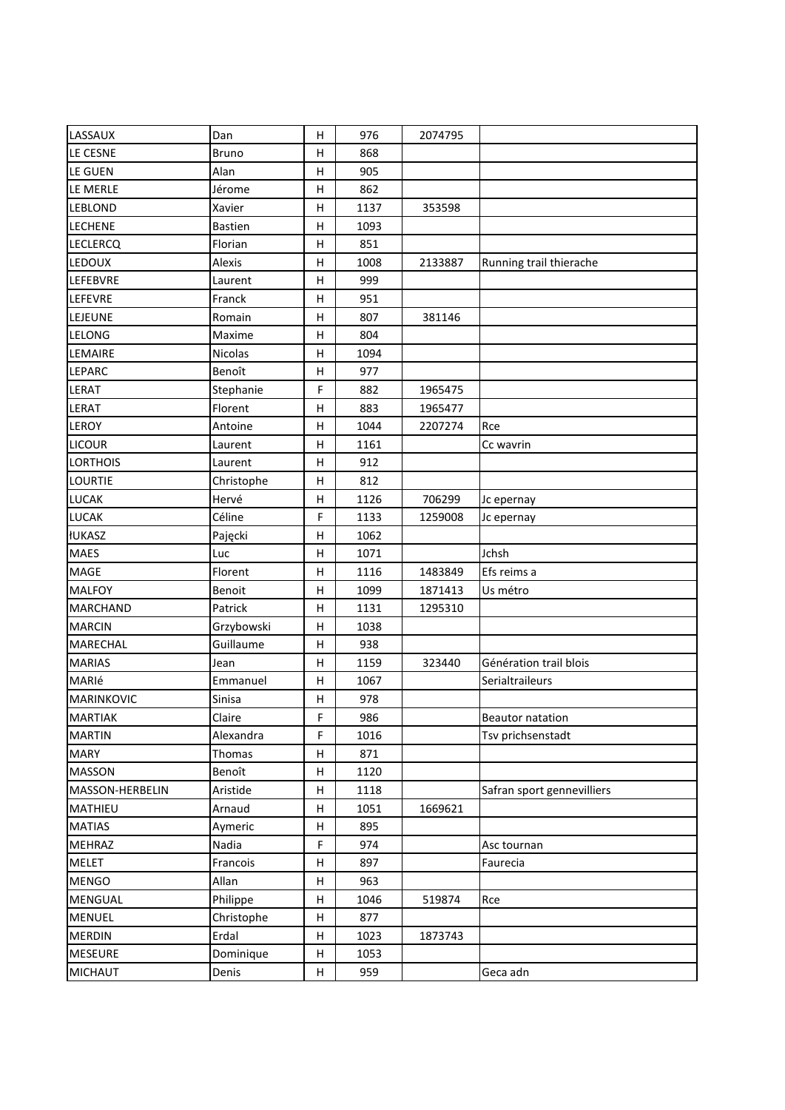| LASSAUX         | Dan            | н       | 976  | 2074795 |                            |
|-----------------|----------------|---------|------|---------|----------------------------|
| LE CESNE        | <b>Bruno</b>   | Н       | 868  |         |                            |
| LE GUEN         | Alan           | н       | 905  |         |                            |
| LE MERLE        | Jérome         | $\sf H$ | 862  |         |                            |
| <b>LEBLOND</b>  | Xavier         | н       | 1137 | 353598  |                            |
| <b>LECHENE</b>  | <b>Bastien</b> | $\sf H$ | 1093 |         |                            |
| <b>LECLERCQ</b> | Florian        | н       | 851  |         |                            |
| LEDOUX          | Alexis         | н       | 1008 | 2133887 | Running trail thierache    |
| LEFEBVRE        | Laurent        | Η       | 999  |         |                            |
| LEFEVRE         | Franck         | Н       | 951  |         |                            |
| LEJEUNE         | Romain         | Н       | 807  | 381146  |                            |
| LELONG          | Maxime         | Н       | 804  |         |                            |
| LEMAIRE         | Nicolas        | н       | 1094 |         |                            |
| LEPARC          | Benoît         | $\sf H$ | 977  |         |                            |
| LERAT           | Stephanie      | F       | 882  | 1965475 |                            |
| LERAT           | Florent        | Н       | 883  | 1965477 |                            |
| LEROY           | Antoine        | н       | 1044 | 2207274 | Rce                        |
| <b>LICOUR</b>   | Laurent        | н       | 1161 |         | Cc wavrin                  |
| <b>LORTHOIS</b> | Laurent        | H       | 912  |         |                            |
| <b>LOURTIE</b>  | Christophe     | Н       | 812  |         |                            |
| <b>LUCAK</b>    | Hervé          | н       | 1126 | 706299  | Jc epernay                 |
| LUCAK           | Céline         | F       | 1133 | 1259008 | Jc epernay                 |
| <b>IUKASZ</b>   | Pajęcki        | н       | 1062 |         |                            |
| <b>MAES</b>     | Luc            | $\sf H$ | 1071 |         | Jchsh                      |
| MAGE            | Florent        | н       | 1116 | 1483849 | Efs reims a                |
| <b>MALFOY</b>   | Benoit         | н       | 1099 | 1871413 | Us métro                   |
| <b>MARCHAND</b> | Patrick        | н       | 1131 | 1295310 |                            |
| <b>MARCIN</b>   | Grzybowski     | н       | 1038 |         |                            |
| <b>MARECHAL</b> | Guillaume      | Η       | 938  |         |                            |
| <b>MARIAS</b>   | Jean           | н       | 1159 | 323440  | Génération trail blois     |
| MARIé           | Emmanuel       | н       | 1067 |         | Serialtraileurs            |
| MARINKOVIC      | Sinisa         | н       | 978  |         |                            |
| MARTIAK         | Claire         | F,      | 986  |         | Beautor natation           |
| <b>MARTIN</b>   | Alexandra      | F       | 1016 |         | Tsv prichsenstadt          |
| <b>MARY</b>     | Thomas         | н       | 871  |         |                            |
| <b>MASSON</b>   | Benoît         | н       | 1120 |         |                            |
| MASSON-HERBELIN | Aristide       | н       | 1118 |         | Safran sport gennevilliers |
| MATHIEU         | Arnaud         | H       | 1051 | 1669621 |                            |
| <b>MATIAS</b>   | Aymeric        | Н       | 895  |         |                            |
| <b>MEHRAZ</b>   | Nadia          | F       | 974  |         | Asc tournan                |
| <b>MELET</b>    | Francois       | н       | 897  |         | Faurecia                   |
| <b>MENGO</b>    | Allan          | Н       | 963  |         |                            |
| <b>MENGUAL</b>  | Philippe       | н       | 1046 | 519874  | Rce                        |
| <b>MENUEL</b>   | Christophe     | н       | 877  |         |                            |
| <b>MERDIN</b>   | Erdal          | н       | 1023 | 1873743 |                            |
| <b>MESEURE</b>  | Dominique      | н       | 1053 |         |                            |
| <b>MICHAUT</b>  | Denis          | н       | 959  |         | Geca adn                   |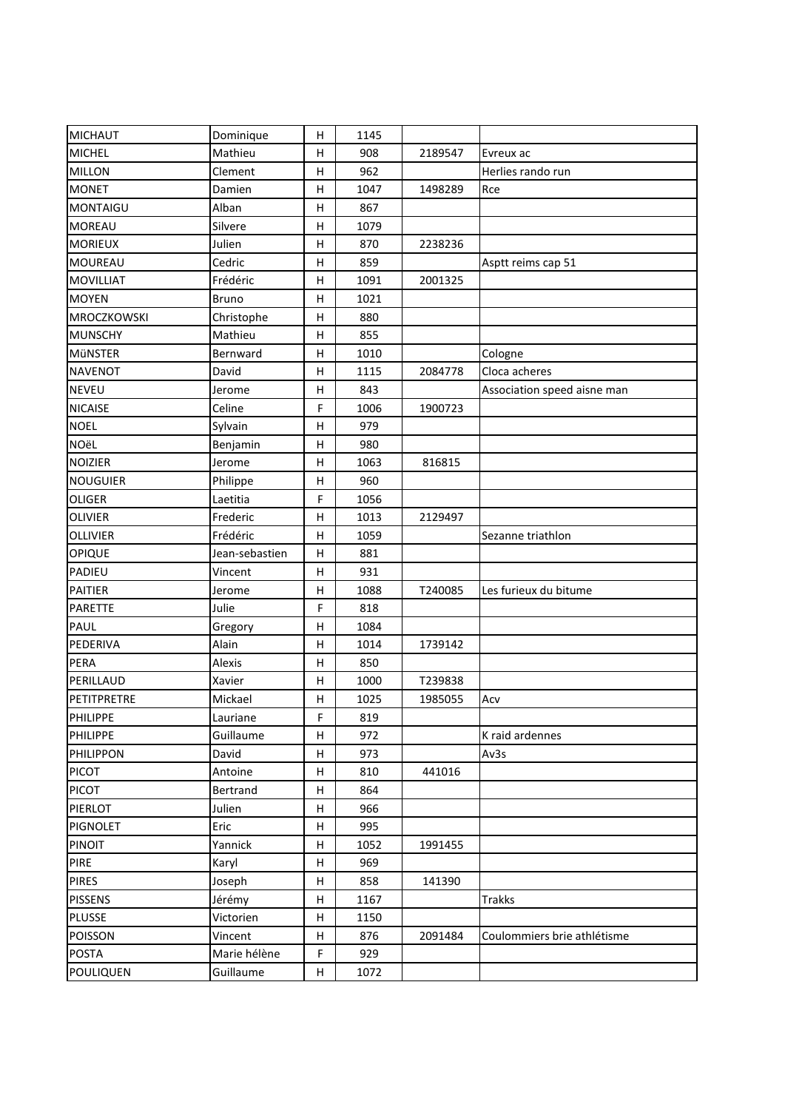| <b>MICHAUT</b>   | Dominique      | н                         | 1145 |         |                             |
|------------------|----------------|---------------------------|------|---------|-----------------------------|
| <b>MICHEL</b>    | Mathieu        | н                         | 908  | 2189547 | Evreux ac                   |
| <b>MILLON</b>    | Clement        | H                         | 962  |         | Herlies rando run           |
| <b>MONET</b>     | Damien         | H                         | 1047 | 1498289 | Rce                         |
| <b>MONTAIGU</b>  | Alban          | H                         | 867  |         |                             |
| <b>MOREAU</b>    | Silvere        | Η                         | 1079 |         |                             |
| <b>MORIEUX</b>   | Julien         | н                         | 870  | 2238236 |                             |
| <b>MOUREAU</b>   | Cedric         | H                         | 859  |         | Asptt reims cap 51          |
| <b>MOVILLIAT</b> | Frédéric       | н                         | 1091 | 2001325 |                             |
| <b>MOYEN</b>     | <b>Bruno</b>   | H                         | 1021 |         |                             |
| MROCZKOWSKI      | Christophe     | $\boldsymbol{\mathsf{H}}$ | 880  |         |                             |
| <b>MUNSCHY</b>   | Mathieu        | H                         | 855  |         |                             |
| MÜNSTER          | Bernward       | H                         | 1010 |         | Cologne                     |
| <b>NAVENOT</b>   | David          | Н                         | 1115 | 2084778 | Cloca acheres               |
| <b>NEVEU</b>     | Jerome         | H                         | 843  |         | Association speed aisne man |
| <b>NICAISE</b>   | Celine         | F                         | 1006 | 1900723 |                             |
| <b>NOEL</b>      | Sylvain        | Н                         | 979  |         |                             |
| <b>NOëL</b>      | Benjamin       | H                         | 980  |         |                             |
| <b>NOIZIER</b>   | Jerome         | H                         | 1063 | 816815  |                             |
| <b>NOUGUIER</b>  | Philippe       | н                         | 960  |         |                             |
| <b>OLIGER</b>    | Laetitia       | F                         | 1056 |         |                             |
| <b>OLIVIER</b>   | Frederic       | Н                         | 1013 | 2129497 |                             |
| <b>OLLIVIER</b>  | Frédéric       | H                         | 1059 |         | Sezanne triathlon           |
| <b>OPIQUE</b>    | Jean-sebastien | H                         | 881  |         |                             |
| PADIEU           | Vincent        | H                         | 931  |         |                             |
| <b>PAITIER</b>   | Jerome         | Η                         | 1088 | T240085 | Les furieux du bitume       |
| PARETTE          | Julie          | F                         | 818  |         |                             |
| PAUL             | Gregory        | H                         | 1084 |         |                             |
| PEDERIVA         | Alain          | н                         | 1014 | 1739142 |                             |
| PERA             | Alexis         | H                         | 850  |         |                             |
| PERILLAUD        | Xavier         | H                         | 1000 | T239838 |                             |
| PETITPRETRE      | Mickael        | Н                         | 1025 | 1985055 | Acv                         |
| PHILIPPE         | Lauriane       | F                         | 819  |         |                             |
| <b>PHILIPPE</b>  | Guillaume      | H                         | 972  |         | K raid ardennes             |
| <b>PHILIPPON</b> | David          | Н                         | 973  |         | Av3s                        |
| <b>PICOT</b>     | Antoine        | Н                         | 810  | 441016  |                             |
| <b>PICOT</b>     | Bertrand       | н                         | 864  |         |                             |
| PIERLOT          | Julien         | н                         | 966  |         |                             |
| <b>PIGNOLET</b>  | Eric           | н                         | 995  |         |                             |
| <b>PINOIT</b>    | Yannick        | н                         | 1052 | 1991455 |                             |
| <b>PIRE</b>      | Karyl          | Н                         | 969  |         |                             |
| <b>PIRES</b>     | Joseph         | н                         | 858  | 141390  |                             |
| <b>PISSENS</b>   | Jérémy         | н                         | 1167 |         | Trakks                      |
| <b>PLUSSE</b>    | Victorien      | Н                         | 1150 |         |                             |
| <b>POISSON</b>   | Vincent        | H                         | 876  | 2091484 | Coulommiers brie athlétisme |
| <b>POSTA</b>     | Marie hélène   | F                         | 929  |         |                             |
| <b>POULIQUEN</b> | Guillaume      | H                         | 1072 |         |                             |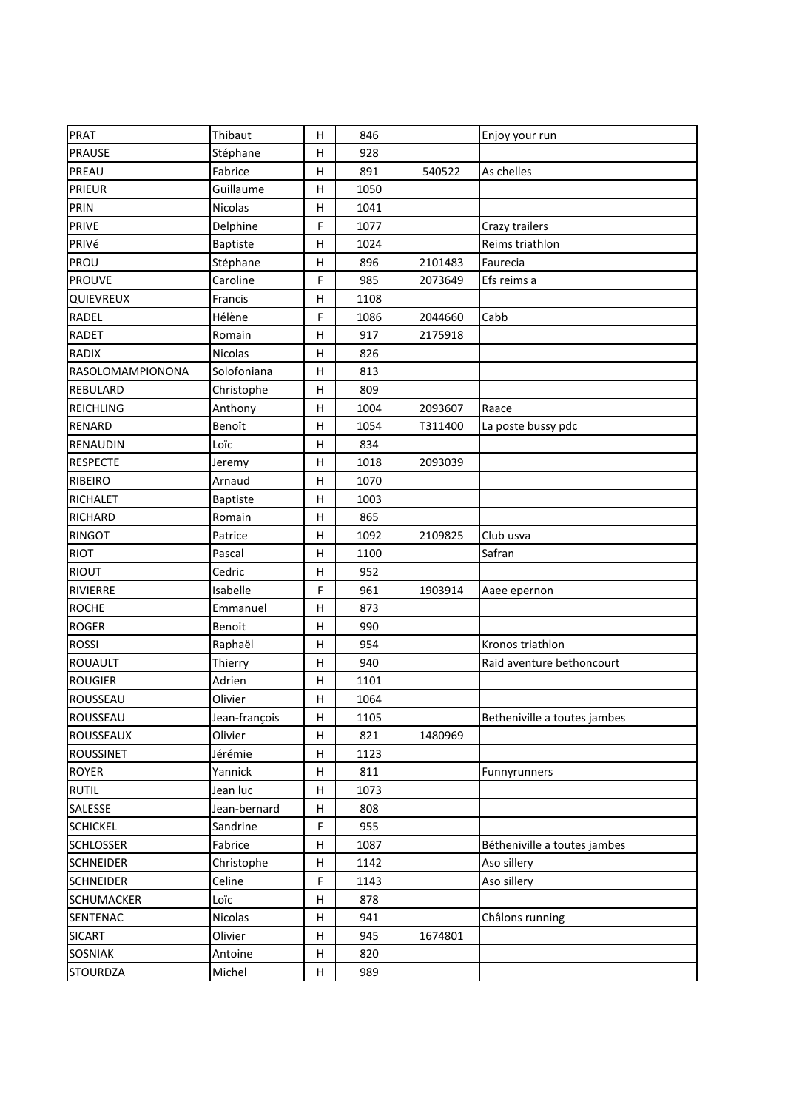| <b>PRAT</b>       | Thibaut         | н  | 846  |         | Enjoy your run               |
|-------------------|-----------------|----|------|---------|------------------------------|
| <b>PRAUSE</b>     | Stéphane        | н  | 928  |         |                              |
| PREAU             | Fabrice         | н  | 891  | 540522  | As chelles                   |
| <b>PRIEUR</b>     | Guillaume       | Н  | 1050 |         |                              |
| <b>PRIN</b>       | Nicolas         | н  | 1041 |         |                              |
| <b>PRIVE</b>      | Delphine        | F  | 1077 |         | Crazy trailers               |
| PRIVé             | <b>Baptiste</b> | Н  | 1024 |         | Reims triathlon              |
| PROU              | Stéphane        | н  | 896  | 2101483 | Faurecia                     |
| <b>PROUVE</b>     | Caroline        | F  | 985  | 2073649 | Efs reims a                  |
| QUIEVREUX         | Francis         | н  | 1108 |         |                              |
| <b>RADEL</b>      | Hélène          | F  | 1086 | 2044660 | Cabb                         |
| <b>RADET</b>      | Romain          | Η  | 917  | 2175918 |                              |
| <b>RADIX</b>      | Nicolas         | н  | 826  |         |                              |
| RASOLOMAMPIONONA  | Solofoniana     | Н  | 813  |         |                              |
| REBULARD          | Christophe      | н  | 809  |         |                              |
| <b>REICHLING</b>  | Anthony         | Н  | 1004 | 2093607 | Raace                        |
| <b>RENARD</b>     | Benoît          | Н  | 1054 | T311400 | La poste bussy pdc           |
| RENAUDIN          | Loïc            | н  | 834  |         |                              |
| <b>RESPECTE</b>   | Jeremy          | н  | 1018 | 2093039 |                              |
| <b>RIBEIRO</b>    | Arnaud          | н  | 1070 |         |                              |
| <b>RICHALET</b>   | Baptiste        | н  | 1003 |         |                              |
| <b>RICHARD</b>    | Romain          | Η  | 865  |         |                              |
| <b>RINGOT</b>     | Patrice         | н  | 1092 | 2109825 | Club usva                    |
| <b>RIOT</b>       | Pascal          | Н  | 1100 |         | Safran                       |
| <b>RIOUT</b>      | Cedric          | н  | 952  |         |                              |
| RIVIERRE          | Isabelle        | F  | 961  | 1903914 | Aaee epernon                 |
| <b>ROCHE</b>      | Emmanuel        | н  | 873  |         |                              |
| <b>ROGER</b>      | Benoit          | н  | 990  |         |                              |
| <b>ROSSI</b>      | Raphaël         | н  | 954  |         | Kronos triathlon             |
| <b>ROUAULT</b>    | Thierry         | н  | 940  |         | Raid aventure bethoncourt    |
| <b>ROUGIER</b>    | Adrien          | н  | 1101 |         |                              |
| ROUSSEAU          | Olivier         | н  | 1064 |         |                              |
| ROUSSEAU          | Jean-françois   | H. | 1105 |         | Betheniville a toutes jambes |
| ROUSSEAUX         | Olivier         | н  | 821  | 1480969 |                              |
| <b>ROUSSINET</b>  | Jérémie         | н  | 1123 |         |                              |
| <b>ROYER</b>      | Yannick         | н  | 811  |         | Funnyrunners                 |
| <b>RUTIL</b>      | Jean luc        | н  | 1073 |         |                              |
| SALESSE           | Jean-bernard    | н  | 808  |         |                              |
| <b>SCHICKEL</b>   | Sandrine        | F  | 955  |         |                              |
| <b>SCHLOSSER</b>  | Fabrice         | н  | 1087 |         | Bétheniville a toutes jambes |
| <b>SCHNEIDER</b>  | Christophe      | н  | 1142 |         | Aso sillery                  |
| <b>SCHNEIDER</b>  | Celine          | F  | 1143 |         | Aso sillery                  |
| <b>SCHUMACKER</b> | Loïc            | н  | 878  |         |                              |
| SENTENAC          | Nicolas         | Н  | 941  |         | Châlons running              |
| <b>SICART</b>     | Olivier         | н  | 945  | 1674801 |                              |
| <b>SOSNIAK</b>    | Antoine         | н  | 820  |         |                              |
| <b>STOURDZA</b>   | Michel          | н  | 989  |         |                              |
|                   |                 |    |      |         |                              |